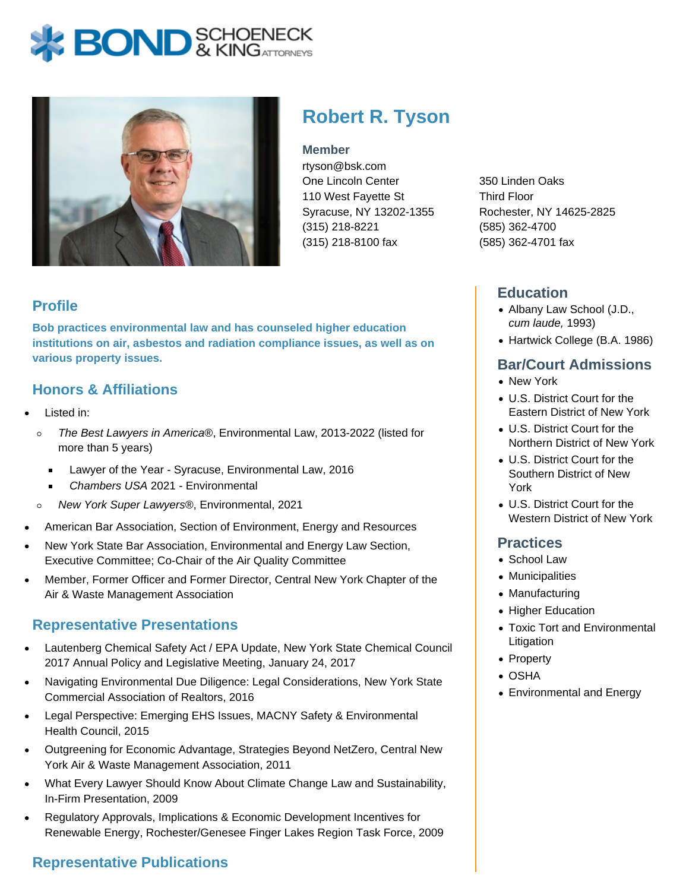# **BOND** & KINGATTORNECK



## **Robert R. Tyson**

#### **Member**

rtyson@bsk.com One Lincoln Center 110 West Fayette St Syracuse, NY 13202-1355 (315) 218-8221 (315) 218-8100 fax

350 Linden Oaks Third Floor Rochester, NY 14625-2825 (585) 362-4700 (585) 362-4701 fax

#### **Education**

- Albany Law School (J.D., cum laude, 1993)
- Hartwick College (B.A. 1986)

#### **Bar/Court Admissions**

- New York
- U.S. District Court for the Eastern District of New York
- U.S. District Court for the Northern District of New York
- U.S. District Court for the Southern District of New York
- U.S. District Court for the Western District of New York

#### **Practices**

- School Law
- Municipalities
- Manufacturing
- Higher Education
- Toxic Tort and Environmental Litigation
- Property
- OSHA
- Environmental and Energy

#### **Profile**

**Bob practices environmental law and has counseled higher education institutions on air, asbestos and radiation compliance issues, as well as on various property issues.**

#### **Honors & Affiliations**

- Listed in:
	- The Best Lawyers in America®, Environmental Law, 2013-2022 (listed for  $\circ$ more than 5 years)
		- Lawyer of the Year Syracuse, Environmental Law, 2016  $\blacksquare$
		- Chambers USA 2021 Environmental  $\blacksquare$
	- New York Super Lawyers®, Environmental, 2021  $\circ$
- American Bar Association, Section of Environment, Energy and Resources
- New York State Bar Association, Environmental and Energy Law Section, Executive Committee; Co-Chair of the Air Quality Committee
- Member, Former Officer and Former Director, Central New York Chapter of the Air & Waste Management Association

### **Representative Presentations**

- Lautenberg Chemical Safety Act / EPA Update, New York State Chemical Council 2017 Annual Policy and Legislative Meeting, January 24, 2017
- Navigating Environmental Due Diligence: Legal Considerations, New York State Commercial Association of Realtors, 2016
- Legal Perspective: Emerging EHS Issues, MACNY Safety & Environmental Health Council, 2015
- Outgreening for Economic Advantage, Strategies Beyond NetZero, Central New York Air & Waste Management Association, 2011
- What Every Lawyer Should Know About Climate Change Law and Sustainability, In-Firm Presentation, 2009
- Regulatory Approvals, Implications & Economic Development Incentives for Renewable Energy, Rochester/Genesee Finger Lakes Region Task Force, 2009

## **Representative Publications**